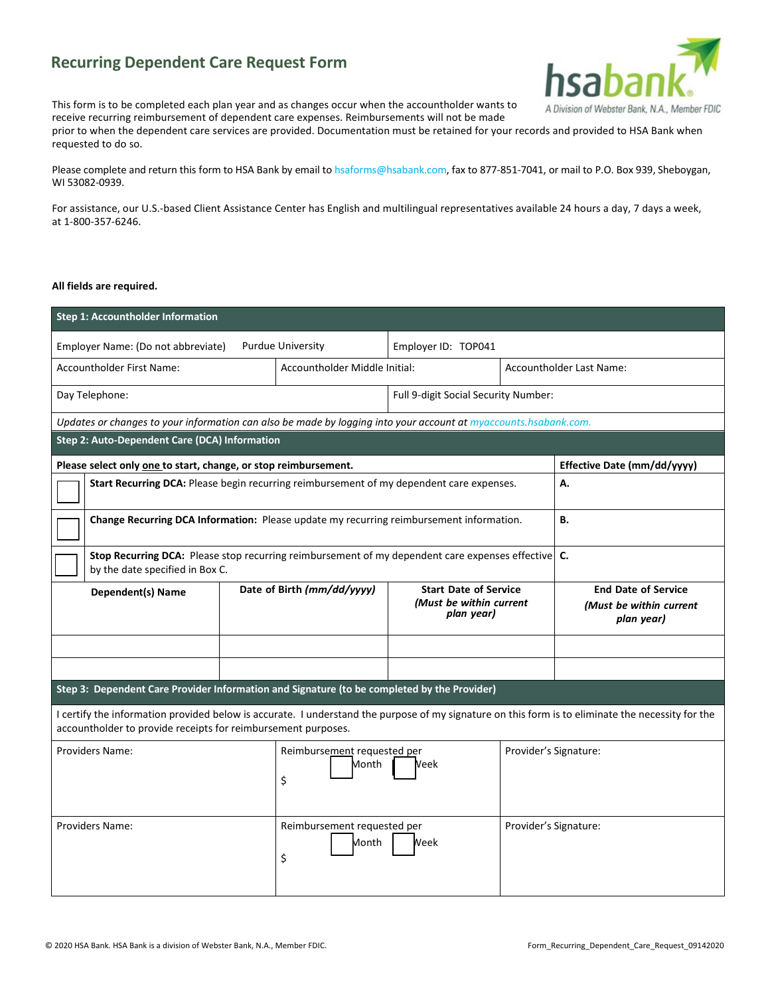## **Recurring Dependent Care Request Form**



This form is to be completed each plan year and as changes occur when the accountholder wants to receive recurring reimbursement of dependent care expenses. Reimbursements will not be made

prior to when the dependent care services are provided. Documentation must be retained for your records and provided to HSA Bank when requested to do so.

Please complete and return this form to HSA Bank by email t[o hsaforms@hsabank.com, fa](mailto:hsaforms@hsabank.com)x to 877-851-7041, or mail to P.O. Box 939, Sheboygan, WI 53082-0939.

For assistance, our U.S.-based Client Assistance Center has English and multilingual representatives available 24 hours a day, 7 days a week, at 1-800-357-6246.

## **All fields are required.**

| <b>Step 1: Accountholder Information</b>                                                                                                                                                                           |                            |                                                    |                                                                       |                       |                                                                     |  |  |
|--------------------------------------------------------------------------------------------------------------------------------------------------------------------------------------------------------------------|----------------------------|----------------------------------------------------|-----------------------------------------------------------------------|-----------------------|---------------------------------------------------------------------|--|--|
| Employer Name: (Do not abbreviate)                                                                                                                                                                                 |                            | <b>Purdue University</b>                           | Employer ID: TOP041                                                   |                       |                                                                     |  |  |
| <b>Accountholder First Name:</b>                                                                                                                                                                                   |                            | Accountholder Middle Initial:                      |                                                                       |                       | <b>Accountholder Last Name:</b>                                     |  |  |
| Day Telephone:                                                                                                                                                                                                     |                            |                                                    | Full 9-digit Social Security Number:                                  |                       |                                                                     |  |  |
| Updates or changes to your information can also be made by logging into your account at myaccounts.hsabank.com.                                                                                                    |                            |                                                    |                                                                       |                       |                                                                     |  |  |
| Step 2: Auto-Dependent Care (DCA) Information                                                                                                                                                                      |                            |                                                    |                                                                       |                       |                                                                     |  |  |
| Please select only one to start, change, or stop reimbursement.                                                                                                                                                    |                            |                                                    |                                                                       |                       | Effective Date (mm/dd/yyyy)                                         |  |  |
| Start Recurring DCA: Please begin recurring reimbursement of my dependent care expenses.<br>А.                                                                                                                     |                            |                                                    |                                                                       |                       |                                                                     |  |  |
| В.<br>Change Recurring DCA Information: Please update my recurring reimbursement information.                                                                                                                      |                            |                                                    |                                                                       |                       |                                                                     |  |  |
| Stop Recurring DCA: Please stop recurring reimbursement of my dependent care expenses effective   C.<br>by the date specified in Box C.                                                                            |                            |                                                    |                                                                       |                       |                                                                     |  |  |
| <b>Dependent(s) Name</b>                                                                                                                                                                                           | Date of Birth (mm/dd/yyyy) |                                                    | <b>Start Date of Service</b><br>(Must be within current<br>plan year) |                       | <b>End Date of Service</b><br>(Must be within current<br>plan year) |  |  |
|                                                                                                                                                                                                                    |                            |                                                    |                                                                       |                       |                                                                     |  |  |
|                                                                                                                                                                                                                    |                            |                                                    |                                                                       |                       |                                                                     |  |  |
| Step 3: Dependent Care Provider Information and Signature (to be completed by the Provider)                                                                                                                        |                            |                                                    |                                                                       |                       |                                                                     |  |  |
| I certify the information provided below is accurate. I understand the purpose of my signature on this form is to eliminate the necessity for the<br>accountholder to provide receipts for reimbursement purposes. |                            |                                                    |                                                                       |                       |                                                                     |  |  |
| <b>Providers Name:</b>                                                                                                                                                                                             |                            | Reimbursement requested per<br>Month<br>Veek<br>\$ |                                                                       | Provider's Signature: |                                                                     |  |  |
| Providers Name:                                                                                                                                                                                                    |                            | Reimbursement requested per<br>Month<br>Week<br>\$ |                                                                       |                       | Provider's Signature:                                               |  |  |